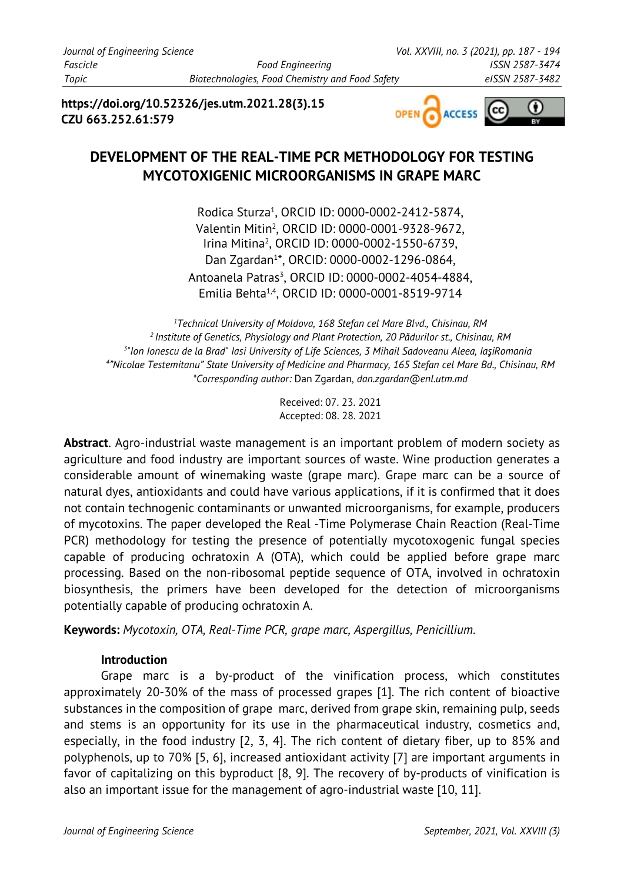*Journal of Engineering Science Vol. XXVIII, no. 3 (2021), pp. 187 - 194 Fascicle Food Engineering ISSN 2587-3474 Topic Biotechnologies, Food Chemistry and Food Safety eISSN 2587-3482*

**https://doi.org/10.52326/jes.utm.2021.28(3).15 CZU 663.252.61:579**



## **DEVELOPMENT OF THE REAL-TIME PCR METHODOLOGY FOR TESTING MYCOTOXIGENIC MICROORGANISMS IN GRAPE MARC**

Rodica Sturza<sup>1</sup>, ORCID ID: 0000-0002-2412-5874, Valentin Mitin<sup>2</sup> , ORCID ID: 0000-0001-9328-9672, Irina Mitina<sup>2</sup> , ORCID ID: 0000-0002-1550-6739, Dan Zgardan<sup>1</sup> \*, ORCID: 0000-0002-1296-0864, Antoanela Patras<sup>3</sup>, ORCID ID: 0000-0002-4054-4884, Emilia Behta1,4 , ORCID ID: 0000-0001-8519-9714

*Technical University of Moldova, 168 Stefan cel Mare Blvd., Chisinau, RM Institute of Genetics, Physiology and Plant Protection, 20 Pădurilor st., Chisinau, RM "Ion Ionescu de la Brad" Iasi University of Life Sciences, 3 Mihail Sadoveanu Aleea, Iaşi, Romania "Nicolae Testemitanu" State University of Medicine and Pharmacy, 165 Stefan cel Mare Bd., Chisinau, RM \*Corresponding author:* Dan Zgardan, *dan.zgardan@enl.utm.md*

> Received: 07. 23. 2021 Accepted: 08. 28. 2021

**Abstract**. Agro-industrial waste management is an important problem of modern society as agriculture and food industry are important sources of waste. Wine production generates a considerable amount of winemaking waste (grape marc). Grape marc can be a source of natural dyes, antioxidants and could have various applications, if it is confirmed that it does not contain technogenic contaminants or unwanted microorganisms, for example, producers of mycotoxins. The paper developed the Real -Time Polymerase Chain Reaction (Real-Time PCR) methodology for testing the presence of potentially mycotoxogenic fungal species capable of producing ochratoxin A (OTA), which could be applied before grape marc processing. Based on the non-ribosomal peptide sequence of OTA, involved in ochratoxin biosynthesis, the primers have been developed for the detection of microorganisms potentially capable of producing ochratoxin A.

**Keywords:** *Mycotoxin, OTA, Real-Time PCR, grape marc, Aspergillus, Penicillium.*

## **Introduction**

Grape marc is a by-product of the vinification process, which constitutes approximately 20-30% of the mass of processed grapes [1]. The rich content of bioactive substances in the composition of grape marc, derived from grape skin, remaining pulp, seeds and stems is an opportunity for its use in the pharmaceutical industry, cosmetics and, especially, in the food industry [2, 3, 4]. The rich content of dietary fiber, up to 85% and polyphenols, up to 70% [5, 6], increased antioxidant activity [7] are important arguments in favor of capitalizing on this byproduct [8, 9]. The recovery of by-products of vinification is also an important issue for the management of agro-industrial waste [10, 11].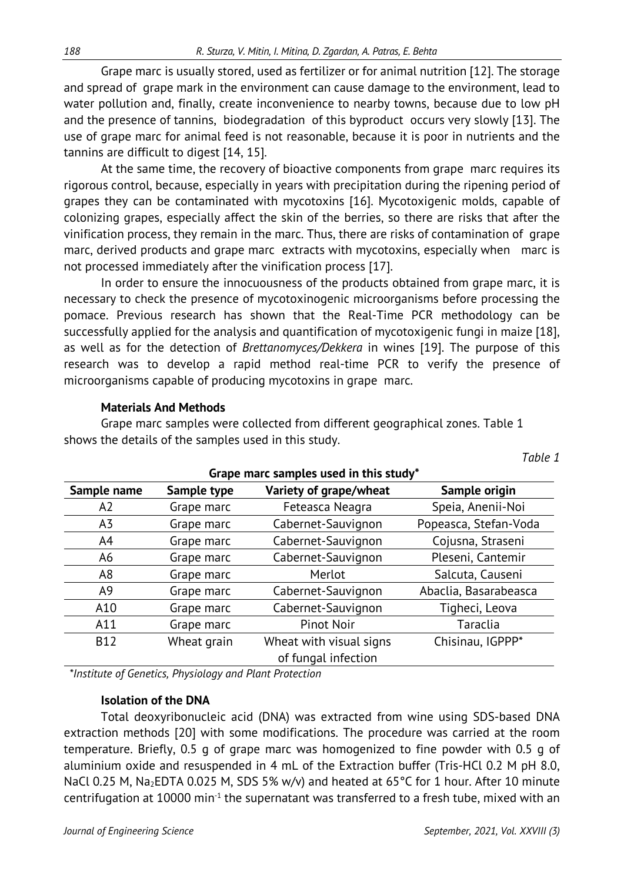Grape marc is usually stored, used as fertilizer or for animal nutrition [12]. The storage and spread of grape mark in the environment can cause damage to the environment, lead to water pollution and, finally, create inconvenience to nearby towns, because due to low pH and the presence of tannins, biodegradation of this byproduct occurs very slowly [13]. The use of grape marc for animal feed is not reasonable, because it is poor in nutrients and the tannins are difficult to digest [14, 15].

At the same time, the recovery of bioactive components from grape marc requires its rigorous control, because, especially in years with precipitation during the ripening period of grapes they can be contaminated with mycotoxins [16]. Mycotoxigenic molds, capable of colonizing grapes, especially affect the skin of the berries, so there are risks that after the vinification process, they remain in the marc. Thus, there are risks of contamination of grape marc, derived products and grape marc extracts with mycotoxins, especially when marc is not processed immediately after the vinification process [17].

In order to ensure the innocuousness of the products obtained from grape marc, it is necessary to check the presence of mycotoxinogenic microorganisms before processing the pomace. Previous research has shown that the Real-Time PCR methodology can be successfully applied for the analysis and quantification of mycotoxigenic fungi in maize [18], as well as for the detection of *Brettanomyces/Dekkera* in wines [19]. The purpose of this research was to develop a rapid method real-time PCR to verify the presence of microorganisms capable of producing mycotoxins in grape marc.

#### **Materials And Methods**

Grape marc samples were collected from different geographical zones. Table 1 shows the details of the samples used in this study.

| Grape marc samples used in this study" |             |                         |                       |  |  |  |  |
|----------------------------------------|-------------|-------------------------|-----------------------|--|--|--|--|
| Sample name                            | Sample type | Variety of grape/wheat  | Sample origin         |  |  |  |  |
| A <sub>2</sub>                         | Grape marc  | Feteasca Neagra         | Speia, Anenii-Noi     |  |  |  |  |
| A3                                     | Grape marc  | Cabernet-Sauvignon      | Popeasca, Stefan-Voda |  |  |  |  |
| A4                                     | Grape marc  | Cabernet-Sauvignon      | Cojusna, Straseni     |  |  |  |  |
| A6                                     | Grape marc  | Cabernet-Sauvignon      | Pleseni, Cantemir     |  |  |  |  |
| A <sub>8</sub>                         | Grape marc  | Merlot                  | Salcuta, Causeni      |  |  |  |  |
| A <sub>9</sub>                         | Grape marc  | Cabernet-Sauvignon      | Abaclia, Basarabeasca |  |  |  |  |
| A10                                    | Grape marc  | Cabernet-Sauvignon      | Tigheci, Leova        |  |  |  |  |
| A11                                    | Grape marc  | <b>Pinot Noir</b>       | Taraclia              |  |  |  |  |
| <b>B12</b>                             | Wheat grain | Wheat with visual signs | Chisinau, IGPPP*      |  |  |  |  |
|                                        |             | of fungal infection     |                       |  |  |  |  |

**Grape marc samples used in this study\*** 

*\*Institute of Genetics, Physiology and Plant Protection*

#### **Isolation of the DNA**

Total deoxyribonucleic acid (DNA) was extracted from wine using SDS-based DNA extraction methods [20] with some modifications. The procedure was carried at the room temperature. Briefly, 0.5 g of grape marc was homogenized to fine powder with 0.5 g of aluminium oxide and resuspended in 4 mL of the Extraction buffer (Tris-HCl 0.2 M pH 8.0, NaCl 0.25 M, Na<sub>2</sub>EDTA 0.025 M, SDS 5% w/v) and heated at 65°C for 1 hour. After 10 minute centrifugation at 10000 min<sup>-1</sup> the supernatant was transferred to a fresh tube, mixed with an

*Table 1*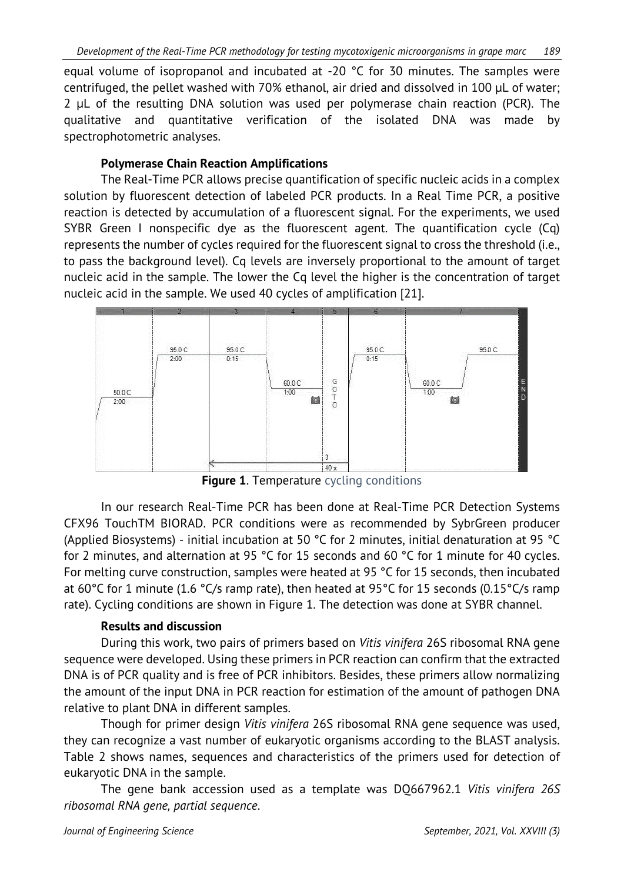equal volume of isopropanol and incubated at -20 °C for 30 minutes. The samples were centrifuged, the pellet washed with 70% ethanol, air dried and dissolved in 100 μL of water; 2 μL of the resulting DNA solution was used per polymerase chain reaction (PCR). The qualitative and quantitative verification of the isolated DNA was made by spectrophotometric analyses.

## **Polymerase Chain Reaction Amplifications**

The Real-Time PCR allows precise quantification of specific nucleic acids in a complex solution by fluorescent detection of labeled PCR products. In a Real Time PCR, a positive reaction is detected by accumulation of a fluorescent signal. For the experiments, we used SYBR Green I nonspecific dye as the fluorescent agent. The quantification cycle (Cq) represents the number of cycles required for the fluorescent signal to cross the threshold (i.e., to pass the background level). Cq levels are inversely proportional to the amount of target nucleic acid in the sample. The lower the Cq level the higher is the concentration of target nucleic acid in the sample. We used 40 cycles of amplification [21].



**Figure 1.** Temperature cycling conditions

In our research Real-Time PCR has been done at Real-Time PCR Detection Systems CFX96 TouchTM BIORAD. PCR conditions were as recommended by SybrGreen producer (Applied Biosystems) - initial incubation at 50 °C for 2 minutes, initial denaturation at 95 °C for 2 minutes, and alternation at 95 °C for 15 seconds and 60 °C for 1 minute for 40 cycles. For melting curve construction, samples were heated at 95 °C for 15 seconds, then incubated at 60°C for 1 minute (1.6 °C/s ramp rate), then heated at 95°C for 15 seconds (0.15°C/s ramp rate). Cycling conditions are shown in Figure 1. The detection was done at SYBR channel.

## **Results and discussion**

During this work, two pairs of primers based on *Vitis vinifera* 26S ribosomal RNA gene sequence were developed. Using these primers in PCR reaction can confirm that the extracted DNA is of PCR quality and is free of PCR inhibitors. Besides, these primers allow normalizing the amount of the input DNA in PCR reaction for estimation of the amount of pathogen DNA relative to plant DNA in different samples.

Though for primer design *Vitis vinifera* 26S ribosomal RNA gene sequence was used, they can recognize a vast number of eukaryotic organisms according to the BLAST analysis. Table 2 shows names, sequences and characteristics of the primers used for detection of eukaryotic DNA in the sample.

The gene bank accession used as a template was DQ667962.1 *Vitis vinifera 26S ribosomal RNA gene, partial sequence*.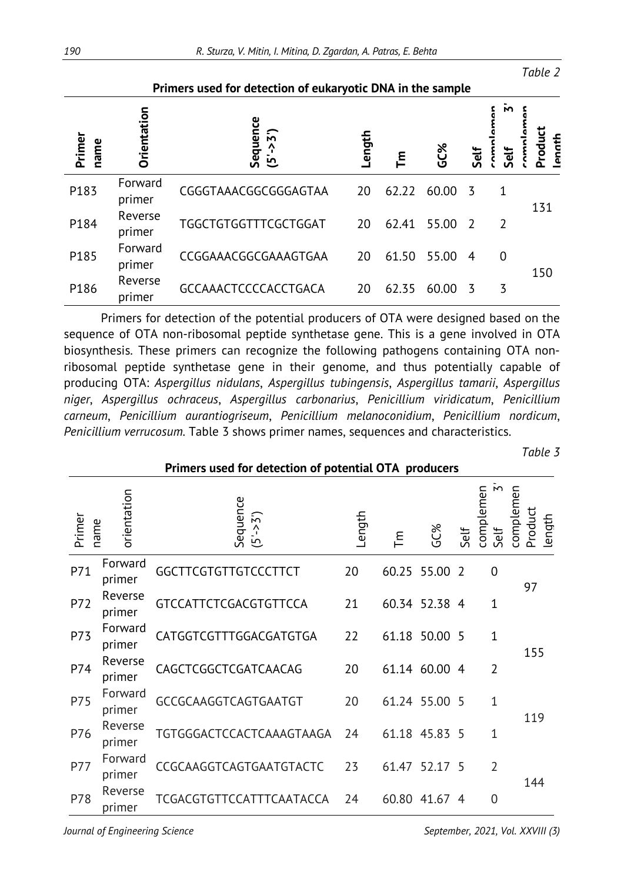|                |                    | Primers used for detection of eukaryotic DNA in the sample |        |          |            |                |                  |                   |
|----------------|--------------------|------------------------------------------------------------|--------|----------|------------|----------------|------------------|-------------------|
| Primer<br>name | <b>Orientation</b> | Sequence<br>$>5$ ')<br>$\overline{5}$                      | Length | <u>ع</u> | <b>SC%</b> | Self           | М<br><b>Self</b> | Product<br>Ienath |
| P183           | Forward<br>primer  | CGGGTAAACGGCGGGAGTAA                                       | 20     | 62.22    | 60.00      | -3             | 1                | 131               |
| P184           | Reverse<br>primer  | <b>TGGCTGTGGTTTCGCTGGAT</b>                                | 20     | 62.41    | 55.00      | $\overline{z}$ | $\overline{2}$   |                   |
| P185           | Forward<br>primer  | CCGGAAACGGCGAAAGTGAA                                       | 20     | 61.50    | 55.00      | 4              | 0                | 150               |
| P186           | Reverse<br>primer  | GCCAAACTCCCCACCTGACA                                       | 20     | 62.35    | 60.00      | 3              | 3                |                   |

Primers for detection of the potential producers of OTA were designed based on the sequence of OTA non-ribosomal peptide synthetase gene. This is a gene involved in OTA biosynthesis. These primers can recognize the following pathogens containing OTA nonribosomal peptide synthetase gene in their genome, and thus potentially capable of producing OTA: *Aspergillus nidulans*, *Aspergillus tubingensis*, *Aspergillus tamarii*, *Aspergillus niger*, *Aspergillus ochraceus*, *Aspergillus carbonarius*, *Penicillium viridicatum*, *Penicillium carneum*, *Penicillium aurantiogriseum*, *Penicillium melanoconidium*, *Penicillium nordicum*, *Penicillium verrucosum.* Table 3 shows primer names, sequences and characteristics.

*Table 3*

| Primers used for detection of potential OTA producers |                   |                                           |        |       |               |      |                                   |                                |
|-------------------------------------------------------|-------------------|-------------------------------------------|--------|-------|---------------|------|-----------------------------------|--------------------------------|
| Primer<br>name                                        | orientation       | Sequence<br>$\overline{5}$ )<br>$(5 - 5)$ | Length | 트     | GC%           | Self | $\mathsf{M}$<br>complemen<br>Self | complemen<br>Product<br>length |
| P71                                                   | Forward<br>primer | GGCTTCGTGTTGTCCCTTCT                      | 20     | 60.25 | 55.00         | -2   | 0                                 | 97                             |
| P72                                                   | Reverse<br>primer | GTCCATTCTCGACGTGTTCCA                     | 21     |       | 60.34 52.38 4 |      | 1                                 |                                |
| <b>P73</b>                                            | Forward<br>primer | CATGGTCGTTTGGACGATGTGA                    | 22     |       | 61.18 50.00 5 |      | $\mathbf{1}$                      | 155                            |
| P74                                                   | Reverse<br>primer | CAGCTCGGCTCGATCAACAG                      | 20     |       | 61.14 60.00 4 |      | $\overline{2}$                    |                                |
| P75                                                   | Forward<br>primer | GCCGCAAGGTCAGTGAATGT                      | 20     |       | 61.24 55.00 5 |      | 1                                 | 119                            |
| P76                                                   | Reverse<br>primer | TGTGGGACTCCACTCAAAGTAAGA                  | 24     |       | 61.18 45.83 5 |      | 1                                 |                                |
| <b>P77</b>                                            | Forward<br>primer | CCGCAAGGTCAGTGAATGTACTC                   | 23     | 61.47 | 52.17 5       |      | $\overline{2}$                    | 144                            |
| P78                                                   | Reverse<br>primer | TCGACGTGTTCCATTTCAATACCA                  | 24     | 60.80 | 41.67         | 4    | 0                                 |                                |

*Table 2*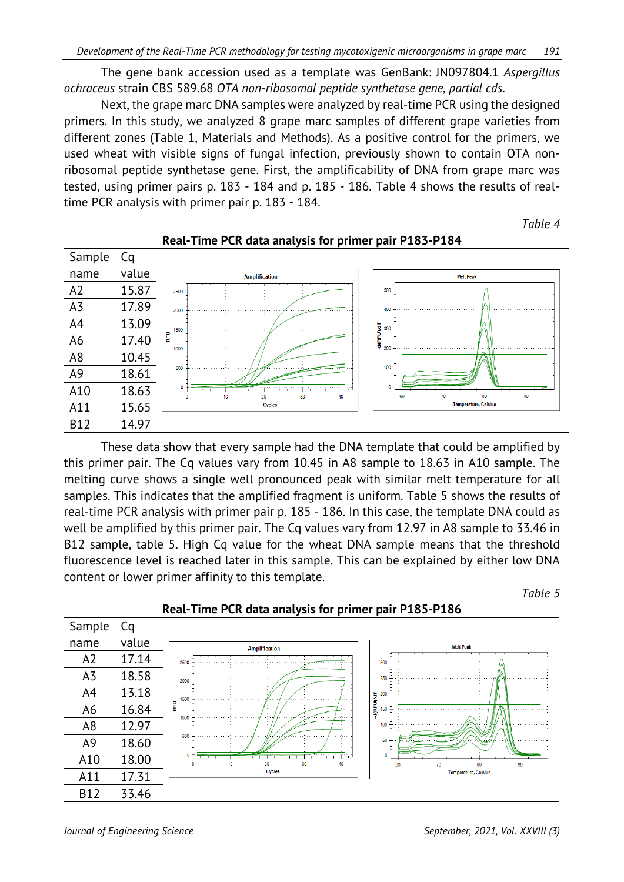The gene bank accession used as a template was GenBank: JN097804.1 *Aspergillus ochraceus* strain CBS 589.68 *OTA non-ribosomal peptide synthetase gene, partial cds*.

Next, the grape marc DNA samples were analyzed by real-time PCR using the designed primers. In this study, we analyzed 8 grape marc samples of different grape varieties from different zones (Table 1, Materials and Methods). As a positive control for the primers, we used wheat with visible signs of fungal infection, previously shown to contain OTA nonribosomal peptide synthetase gene. First, the amplificability of DNA from grape marc was tested, using primer pairs p. 183 - 184 and p. 185 - 186. Table 4 shows the results of realtime PCR analysis with primer pair p. 183 - 184.

*Table 4*



#### **Real-Time PCR data analysis for primer pair P183-P184**

These data show that every sample had the DNA template that could be amplified by this primer pair. The Cq values vary from 10.45 in A8 sample to 18.63 in A10 sample. The melting curve shows a single well pronounced peak with similar melt temperature for all samples. This indicates that the amplified fragment is uniform. Table 5 shows the results of real-time PCR analysis with primer pair p. 185 - 186. In this case, the template DNA could as well be amplified by this primer pair. The Cq values vary from 12.97 in A8 sample to 33.46 in B12 sample, table 5. High Cq value for the wheat DNA sample means that the threshold fluorescence level is reached later in this sample. This can be explained by either low DNA content or lower primer affinity to this template.



#### **Real-Time PCR data analysis for primer pair P185-P186**

*Table 5*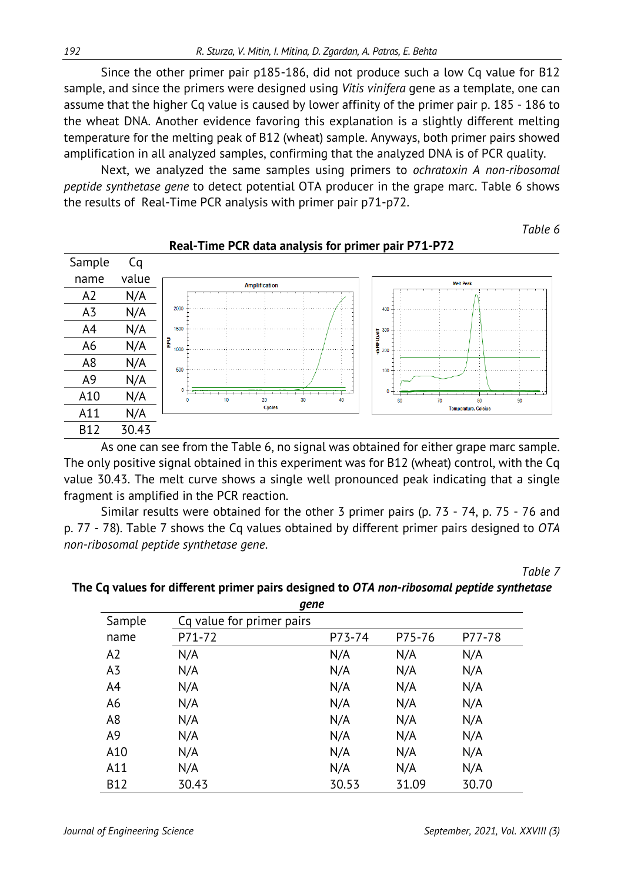Since the other primer pair p185-186, did not produce such a low Cq value for B12 sample, and since the primers were designed using *Vitis vinifera* gene as a template, one can assume that the higher Cq value is caused by lower affinity of the primer pair p. 185 - 186 to the wheat DNA. Another evidence favoring this explanation is a slightly different melting temperature for the melting peak of B12 (wheat) sample. Anyways, both primer pairs showed amplification in all analyzed samples, confirming that the analyzed DNA is of PCR quality.

Next, we analyzed the same samples using primers to *ochratoxin A non-ribosomal peptide synthetase gene* to detect potential OTA producer in the grape marc. Table 6 shows the results of Real-Time PCR analysis with primer pair p71-p72.

*Table 6*



#### **Real-Time PCR data analysis for primer pair P71-P72**

As one can see from the Table 6, no signal was obtained for either grape marc sample. The only positive signal obtained in this experiment was for B12 (wheat) control, with the Cq value 30.43. The melt curve shows a single well pronounced peak indicating that a single fragment is amplified in the PCR reaction.

Similar results were obtained for the other 3 primer pairs (p. 73 - 74, p. 75 - 76 and p. 77 - 78). Table 7 shows the Cq values obtained by different primer pairs designed to *OTA non-ribosomal peptide synthetase gene*.

*Table 7*

| gene           |                           |        |        |        |  |  |  |
|----------------|---------------------------|--------|--------|--------|--|--|--|
| Sample         | Cq value for primer pairs |        |        |        |  |  |  |
| name           | P71-72                    | P73-74 | P75-76 | P77-78 |  |  |  |
| A2             | N/A                       | N/A    | N/A    | N/A    |  |  |  |
| A <sub>3</sub> | N/A                       | N/A    | N/A    | N/A    |  |  |  |
| A4             | N/A                       | N/A    | N/A    | N/A    |  |  |  |
| A6             | N/A                       | N/A    | N/A    | N/A    |  |  |  |
| A <sub>8</sub> | N/A                       | N/A    | N/A    | N/A    |  |  |  |
| A <sub>9</sub> | N/A                       | N/A    | N/A    | N/A    |  |  |  |
| A10            | N/A                       | N/A    | N/A    | N/A    |  |  |  |
| A11            | N/A                       | N/A    | N/A    | N/A    |  |  |  |
| <b>B12</b>     | 30.43                     | 30.53  | 31.09  | 30.70  |  |  |  |

# **The Cq values for different primer pairs designed to** *OTA non-ribosomal peptide synthetase*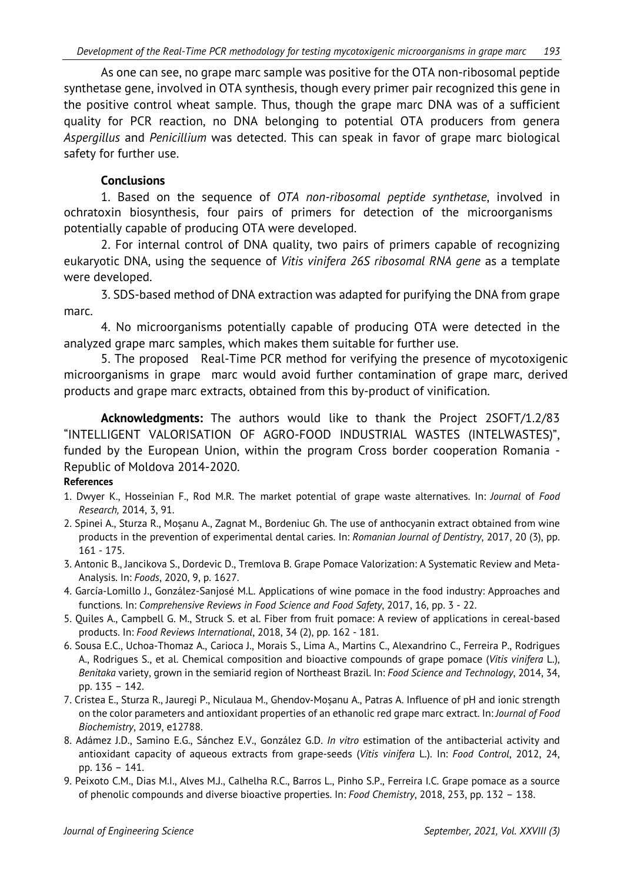As one can see, no grape marc sample was positive for the OTA non-ribosomal peptide synthetase gene, involved in OTA synthesis, though every primer pair recognized this gene in the positive control wheat sample. Thus, though the grape marc DNA was of a sufficient quality for PCR reaction, no DNA belonging to potential OTA producers from genera *Aspergillus* and *Penicillium* was detected. This can speak in favor of grape marc biological safety for further use.

### **Conclusions**

1. Based on the sequence of *OTA non-ribosomal peptide synthetase*, involved in ochratoxin biosynthesis, four pairs of primers for detection of the microorganisms potentially capable of producing OTA were developed.

2. For internal control of DNA quality, two pairs of primers capable of recognizing eukaryotic DNA, using the sequence of *Vitis vinifera 26S ribosomal RNA gene* as a template were developed.

3. SDS-based method of DNA extraction was adapted for purifying the DNA from grape marc.

4. No microorganisms potentially capable of producing OTA were detected in the analyzed grape marc samples, which makes them suitable for further use.

5. The proposed Real-Time PCR method for verifying the presence of mycotoxigenic microorganisms in grape marc would avoid further contamination of grape marc, derived products and grape marc extracts, obtained from this by-product of vinification.

**Acknowledgments:** The authors would like to thank the Project 2SOFT/1.2/83 "INTELLIGENT VALORISATION OF AGRO-FOOD INDUSTRIAL WASTES (INTELWASTES)", funded by the European Union, within the program Cross border cooperation Romania - Republic of Moldova 2014-2020.

#### **References**

- 1. Dwyer K., Hosseinian F., Rod M.R. The market potential of grape waste alternatives. In: *Journal* of *Food Research,* 2014, 3, 91.
- 2. Spinei A., Sturza R., Moșanu A., Zagnat M., Bordeniuc Gh. The use of anthocyanin extract obtained from wine products in the prevention of experimental dental caries. In: *Romanian Journal of Dentistry*, 2017, 20 (3), pp. 161 - 175.
- 3. Antonic B., Jancikova S., Dordevic D., Tremlova B. Grape Pomace Valorization: A Systematic Review and Meta-Analysis. In: *Foods*, 2020, 9, p. 1627.
- 4. García-Lomillo J., González-Sanjosé M.L. Applications of wine pomace in the food industry: Approaches and functions. In: *Comprehensive Reviews in Food Science and Food Safety*, 2017, 16, pp. 3 - 22.
- 5. [Quiles](https://www.researchgate.net/profile/Amparo-Quiles-2?_sg%5B0%5D=JasrZukMG8lXuxE45fYMVlK6NesIaloENTczHGDjxyraHwQcKL-dIh4TkG57wF76SMYdZRw.XYm4umXYP_lUjmsEacW73DLAXfL1rq5a5bziDu7EcGiH9M5q2Q5Aja0TXYDuwsxx6AmbwmwNI6EwsiDADly8mA&_sg%5B1%5D=VcLDCq1V7V-R_jSYhujsTWR09i6EoYlXnES0N9BIJOzRiB2fiUQnPb3_vmTfKZByKscfePk.0JljT7RQrj2hkeRBA_k0DzMm7gdJDWjD8LdNkHsyJ1-ap7e1q2YoPrHUuxQKClnkTEvYcmK4b9NMsMWdYAOZ_A) A., [Campbell](https://www.researchgate.net/profile/Grant-Campbell?_sg%5B0%5D=JasrZukMG8lXuxE45fYMVlK6NesIaloENTczHGDjxyraHwQcKL-dIh4TkG57wF76SMYdZRw.XYm4umXYP_lUjmsEacW73DLAXfL1rq5a5bziDu7EcGiH9M5q2Q5Aja0TXYDuwsxx6AmbwmwNI6EwsiDADly8mA&_sg%5B1%5D=VcLDCq1V7V-R_jSYhujsTWR09i6EoYlXnES0N9BIJOzRiB2fiUQnPb3_vmTfKZByKscfePk.0JljT7RQrj2hkeRBA_k0DzMm7gdJDWjD8LdNkHsyJ1-ap7e1q2YoPrHUuxQKClnkTEvYcmK4b9NMsMWdYAOZ_A) G. M., [Struck](https://www.researchgate.net/profile/Susanne-Struck?_sg%5B0%5D=JasrZukMG8lXuxE45fYMVlK6NesIaloENTczHGDjxyraHwQcKL-dIh4TkG57wF76SMYdZRw.XYm4umXYP_lUjmsEacW73DLAXfL1rq5a5bziDu7EcGiH9M5q2Q5Aja0TXYDuwsxx6AmbwmwNI6EwsiDADly8mA&_sg%5B1%5D=VcLDCq1V7V-R_jSYhujsTWR09i6EoYlXnES0N9BIJOzRiB2fiUQnPb3_vmTfKZByKscfePk.0JljT7RQrj2hkeRBA_k0DzMm7gdJDWjD8LdNkHsyJ1-ap7e1q2YoPrHUuxQKClnkTEvYcmK4b9NMsMWdYAOZ_A) S. et al. Fiber from fruit pomace: A review of applications in cereal-based products. In: *Food Reviews International*, 2018, 34 (2), pp. 162 - 181.
- 6. Sousa E.C., Uchoa-Thomaz A., Carioca J., Morais S., Lima A., Martins C., Alexandrino C., Ferreira P., Rodrigues A., Rodrigues S., et al. Chemical composition and bioactive compounds of grape pomace (*Vitis vinifera* L.), *Benitaka* variety, grown in the semiarid region of Northeast Brazil. In: *Food Science and Technology*, 2014, 34, pp. 135 – 142.
- 7. [Cristea](https://onlinelibrary.wiley.com/action/doSearch?ContribAuthorStored=Cristea%2C+Elena) E.[, Sturza](https://onlinelibrary.wiley.com/action/doSearch?ContribAuthorStored=Sturza%2C+Rodica) R., [Jauregi](https://onlinelibrary.wiley.com/action/doSearch?ContribAuthorStored=Jauregi%2C+Paula) P., [Niculaua](https://onlinelibrary.wiley.com/action/doSearch?ContribAuthorStored=Niculaua%2C+Marius) M., [Ghendov](https://onlinelibrary.wiley.com/action/doSearch?ContribAuthorStored=Ghendov-Mo%C8%99anu%2C+Aliona)‐Moșanu A., [Patras](https://onlinelibrary.wiley.com/action/doSearch?ContribAuthorStored=Patras%2C+Antoanela) A. Influence of pH and ionic strength on the color parameters and antioxidant properties of an ethanolic red grape marc extract. In: *Journal of Food Biochemistry*, 2019, e12788.
- 8. Adámez J.D., Samino E.G., Sánchez E.V., González G.D. *In vitro* estimation of the antibacterial activity and antioxidant capacity of aqueous extracts from grape-seeds (*Vitis vinifera* L.). In: *Food Control*, 2012, 24, pp. 136 – 141.
- 9. Peixoto C.M., Dias M.I., Alves M.J., Calhelha R.C., Barros L., Pinho S.P., Ferreira I.C. Grape pomace as a source of phenolic compounds and diverse bioactive properties. In: *Food Chemistry*, 2018, 253, pp. 132 – 138.